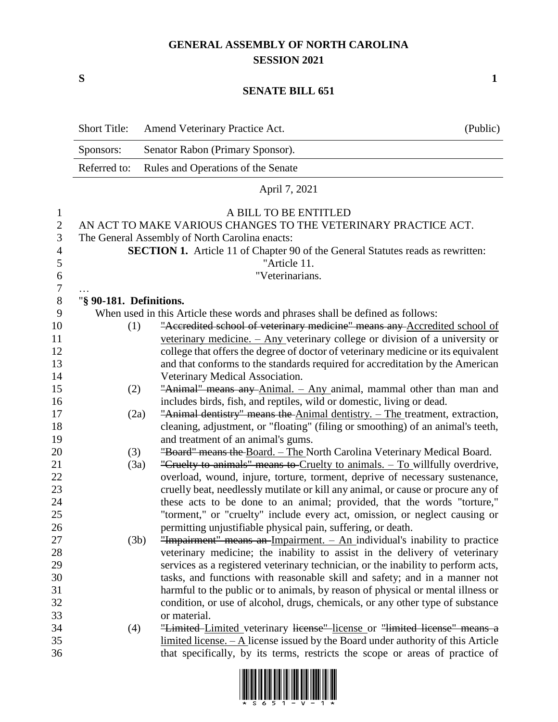## **GENERAL ASSEMBLY OF NORTH CAROLINA SESSION 2021**

**S 1**

## **SENATE BILL 651**

|                | <b>Short Title:</b>                                                                    | Amend Veterinary Practice Act.                                                                                                                                | (Public) |  |  |
|----------------|----------------------------------------------------------------------------------------|---------------------------------------------------------------------------------------------------------------------------------------------------------------|----------|--|--|
|                | Sponsors:                                                                              | Senator Rabon (Primary Sponsor).                                                                                                                              |          |  |  |
|                | Referred to:                                                                           | Rules and Operations of the Senate                                                                                                                            |          |  |  |
|                |                                                                                        | April 7, 2021                                                                                                                                                 |          |  |  |
| $\mathbf{1}$   |                                                                                        | A BILL TO BE ENTITLED                                                                                                                                         |          |  |  |
| $\mathbf{2}$   |                                                                                        | AN ACT TO MAKE VARIOUS CHANGES TO THE VETERINARY PRACTICE ACT.                                                                                                |          |  |  |
| 3              | The General Assembly of North Carolina enacts:                                         |                                                                                                                                                               |          |  |  |
| $\overline{4}$ | <b>SECTION 1.</b> Article 11 of Chapter 90 of the General Statutes reads as rewritten: |                                                                                                                                                               |          |  |  |
| 5              | "Article 11.                                                                           |                                                                                                                                                               |          |  |  |
| 6              |                                                                                        | "Veterinarians.                                                                                                                                               |          |  |  |
| $\tau$         |                                                                                        |                                                                                                                                                               |          |  |  |
| 8              | "§ 90-181. Definitions.                                                                |                                                                                                                                                               |          |  |  |
| 9              |                                                                                        | When used in this Article these words and phrases shall be defined as follows:                                                                                |          |  |  |
| 10             | (1)                                                                                    | "Accredited school of veterinary medicine" means any Accredited school of                                                                                     |          |  |  |
| 11             |                                                                                        | veterinary medicine. $-$ Any veterinary college or division of a university or                                                                                |          |  |  |
| 12             |                                                                                        | college that offers the degree of doctor of veterinary medicine or its equivalent                                                                             |          |  |  |
| 13             |                                                                                        | and that conforms to the standards required for accreditation by the American                                                                                 |          |  |  |
| 14             |                                                                                        | Veterinary Medical Association.                                                                                                                               |          |  |  |
| 15             | (2)                                                                                    | "Animal" means any Animal. - Any animal, mammal other than man and                                                                                            |          |  |  |
| 16             |                                                                                        | includes birds, fish, and reptiles, wild or domestic, living or dead.                                                                                         |          |  |  |
| 17             | (2a)                                                                                   | "Animal dentistry" means the Animal dentistry. - The treatment, extraction,                                                                                   |          |  |  |
| 18             |                                                                                        | cleaning, adjustment, or "floating" (filing or smoothing) of an animal's teeth,                                                                               |          |  |  |
| 19             |                                                                                        | and treatment of an animal's gums.                                                                                                                            |          |  |  |
| 20             | (3)                                                                                    | "Board" means the Board. - The North Carolina Veterinary Medical Board.                                                                                       |          |  |  |
| 21             | (3a)                                                                                   | "Cruelty to animals" means to Cruelty to animals. - To willfully overdrive,                                                                                   |          |  |  |
| 22             |                                                                                        | overload, wound, injure, torture, torment, deprive of necessary sustenance,                                                                                   |          |  |  |
| 23             |                                                                                        | cruelly beat, needlessly mutilate or kill any animal, or cause or procure any of                                                                              |          |  |  |
| 24             |                                                                                        | these acts to be done to an animal; provided, that the words "torture,"                                                                                       |          |  |  |
| 25             |                                                                                        | "torment," or "cruelty" include every act, omission, or neglect causing or                                                                                    |          |  |  |
| 26             |                                                                                        | permitting unjustifiable physical pain, suffering, or death.                                                                                                  |          |  |  |
| 27             | (3b)                                                                                   | "Impairment" means an Impairment. $-$ An individual's inability to practice                                                                                   |          |  |  |
| 28             |                                                                                        | veterinary medicine; the inability to assist in the delivery of veterinary                                                                                    |          |  |  |
| 29             |                                                                                        | services as a registered veterinary technician, or the inability to perform acts,                                                                             |          |  |  |
| 30             |                                                                                        | tasks, and functions with reasonable skill and safety; and in a manner not                                                                                    |          |  |  |
| 31             |                                                                                        | harmful to the public or to animals, by reason of physical or mental illness or                                                                               |          |  |  |
| 32             |                                                                                        | condition, or use of alcohol, drugs, chemicals, or any other type of substance                                                                                |          |  |  |
| 33             |                                                                                        | or material.                                                                                                                                                  |          |  |  |
| 34<br>35       | (4)                                                                                    | "Limited Limited veterinary license" license or "limited license" means a<br>limited license. - A license issued by the Board under authority of this Article |          |  |  |
| 36             |                                                                                        | that specifically, by its terms, restricts the scope or areas of practice of                                                                                  |          |  |  |
|                |                                                                                        |                                                                                                                                                               |          |  |  |

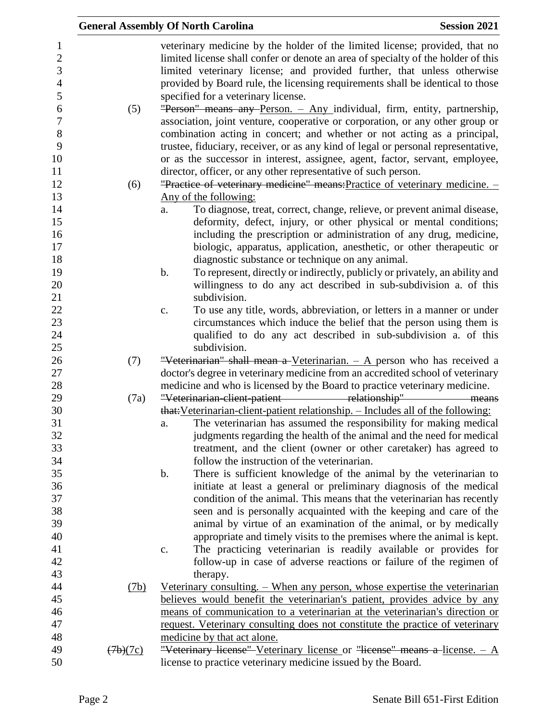|          | <b>General Assembly Of North Carolina</b>                                                                                                                                                                                                                                                                                                                            | <b>Session 2021</b> |
|----------|----------------------------------------------------------------------------------------------------------------------------------------------------------------------------------------------------------------------------------------------------------------------------------------------------------------------------------------------------------------------|---------------------|
|          | veterinary medicine by the holder of the limited license; provided, that no<br>limited license shall confer or denote an area of specialty of the holder of this<br>limited veterinary license; and provided further, that unless otherwise<br>provided by Board rule, the licensing requirements shall be identical to those<br>specified for a veterinary license. |                     |
| (5)      | "Person" means any Person. - Any individual, firm, entity, partnership,<br>association, joint venture, cooperative or corporation, or any other group or<br>combination acting in concert; and whether or not acting as a principal,                                                                                                                                 |                     |
|          | trustee, fiduciary, receiver, or as any kind of legal or personal representative,<br>or as the successor in interest, assignee, agent, factor, servant, employee,                                                                                                                                                                                                    |                     |
|          | director, officer, or any other representative of such person.                                                                                                                                                                                                                                                                                                       |                     |
| (6)      | "Practice of veterinary medicine" means: Practice of veterinary medicine. -                                                                                                                                                                                                                                                                                          |                     |
|          | Any of the following:                                                                                                                                                                                                                                                                                                                                                |                     |
|          | To diagnose, treat, correct, change, relieve, or prevent animal disease,<br>a.<br>deformity, defect, injury, or other physical or mental conditions;                                                                                                                                                                                                                 |                     |
|          | including the prescription or administration of any drug, medicine,                                                                                                                                                                                                                                                                                                  |                     |
|          | biologic, apparatus, application, anesthetic, or other therapeutic or                                                                                                                                                                                                                                                                                                |                     |
|          | diagnostic substance or technique on any animal.                                                                                                                                                                                                                                                                                                                     |                     |
|          | To represent, directly or indirectly, publicly or privately, an ability and<br>$\mathbf b$ .                                                                                                                                                                                                                                                                         |                     |
|          | willingness to do any act described in sub-subdivision a. of this                                                                                                                                                                                                                                                                                                    |                     |
|          | subdivision.                                                                                                                                                                                                                                                                                                                                                         |                     |
|          | To use any title, words, abbreviation, or letters in a manner or under<br>c.                                                                                                                                                                                                                                                                                         |                     |
|          | circumstances which induce the belief that the person using them is                                                                                                                                                                                                                                                                                                  |                     |
|          | qualified to do any act described in sub-subdivision a. of this                                                                                                                                                                                                                                                                                                      |                     |
|          | subdivision.                                                                                                                                                                                                                                                                                                                                                         |                     |
| (7)      | "Veterinarian" shall mean a-Veterinarian. $-$ A person who has received a                                                                                                                                                                                                                                                                                            |                     |
|          | doctor's degree in veterinary medicine from an accredited school of veterinary                                                                                                                                                                                                                                                                                       |                     |
|          | medicine and who is licensed by the Board to practice veterinary medicine.                                                                                                                                                                                                                                                                                           |                     |
| (7a)     | "Veterinarian-elient-patient relationship" means                                                                                                                                                                                                                                                                                                                     |                     |
|          | that: Veterinarian-client-patient relationship. - Includes all of the following:                                                                                                                                                                                                                                                                                     |                     |
|          | The veterinarian has assumed the responsibility for making medical<br>a.                                                                                                                                                                                                                                                                                             |                     |
|          | judgments regarding the health of the animal and the need for medical<br>treatment, and the client (owner or other caretaker) has agreed to                                                                                                                                                                                                                          |                     |
|          | follow the instruction of the veterinarian.                                                                                                                                                                                                                                                                                                                          |                     |
|          | There is sufficient knowledge of the animal by the veterinarian to<br>$\mathbf b$ .                                                                                                                                                                                                                                                                                  |                     |
|          | initiate at least a general or preliminary diagnosis of the medical                                                                                                                                                                                                                                                                                                  |                     |
|          | condition of the animal. This means that the veterinarian has recently                                                                                                                                                                                                                                                                                               |                     |
|          | seen and is personally acquainted with the keeping and care of the                                                                                                                                                                                                                                                                                                   |                     |
|          | animal by virtue of an examination of the animal, or by medically                                                                                                                                                                                                                                                                                                    |                     |
|          | appropriate and timely visits to the premises where the animal is kept.                                                                                                                                                                                                                                                                                              |                     |
|          | The practicing veterinarian is readily available or provides for<br>c.                                                                                                                                                                                                                                                                                               |                     |
|          | follow-up in case of adverse reactions or failure of the regimen of                                                                                                                                                                                                                                                                                                  |                     |
|          | therapy.                                                                                                                                                                                                                                                                                                                                                             |                     |
| (7b)     | <u>Veterinary consulting. – When any person, whose expertise the veterinarian</u>                                                                                                                                                                                                                                                                                    |                     |
|          | believes would benefit the veterinarian's patient, provides advice by any                                                                                                                                                                                                                                                                                            |                     |
|          | means of communication to a veterinarian at the veterinarian's direction or                                                                                                                                                                                                                                                                                          |                     |
|          | request. Veterinary consulting does not constitute the practice of veterinary                                                                                                                                                                                                                                                                                        |                     |
|          | medicine by that act alone.                                                                                                                                                                                                                                                                                                                                          |                     |
| (7b)(7c) | "Veterinary license" Veterinary license or "license" means a license. $- A$                                                                                                                                                                                                                                                                                          |                     |
|          | license to practice veterinary medicine issued by the Board.                                                                                                                                                                                                                                                                                                         |                     |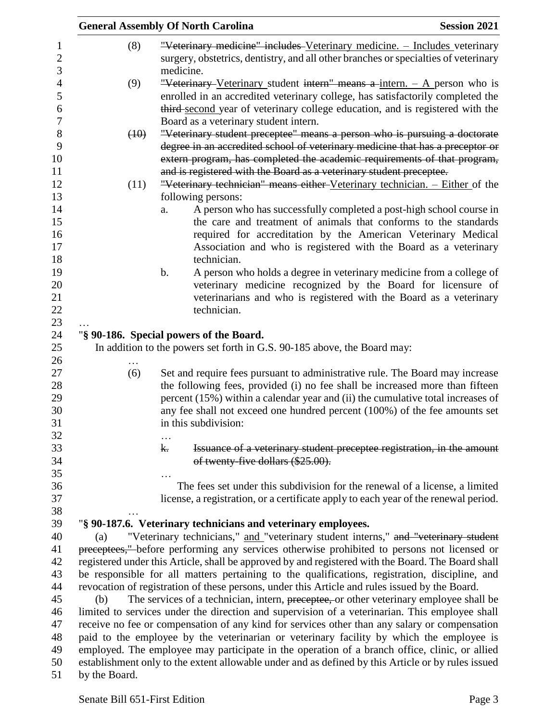|                   |                                                                                                    | <b>General Assembly Of North Carolina</b>                                                                                                                                                           | <b>Session 2021</b> |  |  |  |
|-------------------|----------------------------------------------------------------------------------------------------|-----------------------------------------------------------------------------------------------------------------------------------------------------------------------------------------------------|---------------------|--|--|--|
| $\mathbf{1}$      | (8)                                                                                                | "Veterinary medicine" includes Veterinary medicine. - Includes veterinary                                                                                                                           |                     |  |  |  |
| $\mathbf{2}$<br>3 |                                                                                                    | surgery, obstetrics, dentistry, and all other branches or specialties of veterinary<br>medicine.                                                                                                    |                     |  |  |  |
| $\overline{4}$    | (9)                                                                                                | "Veterinary Veterinary student intern" means a intern. $-$ A person who is                                                                                                                          |                     |  |  |  |
| 5                 |                                                                                                    | enrolled in an accredited veterinary college, has satisfactorily completed the                                                                                                                      |                     |  |  |  |
| 6                 |                                                                                                    | third-second year of veterinary college education, and is registered with the                                                                                                                       |                     |  |  |  |
| $\boldsymbol{7}$  |                                                                                                    | Board as a veterinary student intern.                                                                                                                                                               |                     |  |  |  |
| 8                 | (10)                                                                                               | "Veterinary student preceptee" means a person who is pursuing a doctorate                                                                                                                           |                     |  |  |  |
| 9                 |                                                                                                    | degree in an accredited school of veterinary medicine that has a preceptor or                                                                                                                       |                     |  |  |  |
| 10                |                                                                                                    | extern program, has completed the academic requirements of that program,                                                                                                                            |                     |  |  |  |
| 11                |                                                                                                    | and is registered with the Board as a veterinary student preceptee.                                                                                                                                 |                     |  |  |  |
| 12                | (11)                                                                                               | "Veterinary technician" means either Veterinary technician. - Either of the                                                                                                                         |                     |  |  |  |
| 13                |                                                                                                    | following persons:                                                                                                                                                                                  |                     |  |  |  |
| 14                |                                                                                                    | A person who has successfully completed a post-high school course in<br>a.                                                                                                                          |                     |  |  |  |
| 15                |                                                                                                    | the care and treatment of animals that conforms to the standards                                                                                                                                    |                     |  |  |  |
| 16                |                                                                                                    | required for accreditation by the American Veterinary Medical                                                                                                                                       |                     |  |  |  |
| 17                |                                                                                                    | Association and who is registered with the Board as a veterinary                                                                                                                                    |                     |  |  |  |
| 18                |                                                                                                    | technician.                                                                                                                                                                                         |                     |  |  |  |
| 19                |                                                                                                    | A person who holds a degree in veterinary medicine from a college of<br>b.                                                                                                                          |                     |  |  |  |
| 20                |                                                                                                    | veterinary medicine recognized by the Board for licensure of                                                                                                                                        |                     |  |  |  |
| 21                |                                                                                                    | veterinarians and who is registered with the Board as a veterinary                                                                                                                                  |                     |  |  |  |
| 22                |                                                                                                    | technician.                                                                                                                                                                                         |                     |  |  |  |
| 23                |                                                                                                    |                                                                                                                                                                                                     |                     |  |  |  |
| 24                |                                                                                                    | "§ 90-186. Special powers of the Board.                                                                                                                                                             |                     |  |  |  |
| 25<br>26          |                                                                                                    | In addition to the powers set forth in G.S. 90-185 above, the Board may:                                                                                                                            |                     |  |  |  |
| 27                | (6)                                                                                                | Set and require fees pursuant to administrative rule. The Board may increase                                                                                                                        |                     |  |  |  |
| 28                |                                                                                                    | the following fees, provided (i) no fee shall be increased more than fifteen                                                                                                                        |                     |  |  |  |
| 29                |                                                                                                    | percent (15%) within a calendar year and (ii) the cumulative total increases of                                                                                                                     |                     |  |  |  |
| 30                |                                                                                                    | any fee shall not exceed one hundred percent (100%) of the fee amounts set                                                                                                                          |                     |  |  |  |
| 31                |                                                                                                    | in this subdivision:                                                                                                                                                                                |                     |  |  |  |
| 32                |                                                                                                    | $\cdots$                                                                                                                                                                                            |                     |  |  |  |
| 33                |                                                                                                    | Issuance of a veterinary student preceptee registration, in the amount<br>k.                                                                                                                        |                     |  |  |  |
| 34                |                                                                                                    | of twenty-five dollars (\$25.00).                                                                                                                                                                   |                     |  |  |  |
| 35                |                                                                                                    |                                                                                                                                                                                                     |                     |  |  |  |
| 36                |                                                                                                    | The fees set under this subdivision for the renewal of a license, a limited                                                                                                                         |                     |  |  |  |
| 37                |                                                                                                    | license, a registration, or a certificate apply to each year of the renewal period.                                                                                                                 |                     |  |  |  |
| 38                |                                                                                                    |                                                                                                                                                                                                     |                     |  |  |  |
| 39                |                                                                                                    | "§ 90-187.6. Veterinary technicians and veterinary employees.                                                                                                                                       |                     |  |  |  |
| 40                | (a)                                                                                                | "Veterinary technicians," and "veterinary student interns," and "veterinary student                                                                                                                 |                     |  |  |  |
| 41                | preceptees," before performing any services otherwise prohibited to persons not licensed or        |                                                                                                                                                                                                     |                     |  |  |  |
| 42                | registered under this Article, shall be approved by and registered with the Board. The Board shall |                                                                                                                                                                                                     |                     |  |  |  |
| 43                | be responsible for all matters pertaining to the qualifications, registration, discipline, and     |                                                                                                                                                                                                     |                     |  |  |  |
| 44                | revocation of registration of these persons, under this Article and rules issued by the Board.     |                                                                                                                                                                                                     |                     |  |  |  |
| 45                | The services of a technician, intern, preceptee, or other veterinary employee shall be<br>(b)      |                                                                                                                                                                                                     |                     |  |  |  |
| 46                | limited to services under the direction and supervision of a veterinarian. This employee shall     |                                                                                                                                                                                                     |                     |  |  |  |
| 47                |                                                                                                    | receive no fee or compensation of any kind for services other than any salary or compensation                                                                                                       |                     |  |  |  |
| 48<br>49          | paid to the employee by the veterinarian or veterinary facility by which the employee is           |                                                                                                                                                                                                     |                     |  |  |  |
|                   |                                                                                                    | employed. The employee may participate in the operation of a branch office, clinic, or allied<br>establishment only to the extent allowable under and as defined by this Article or by rules issued |                     |  |  |  |
| 50<br>51          | by the Board.                                                                                      |                                                                                                                                                                                                     |                     |  |  |  |
|                   |                                                                                                    |                                                                                                                                                                                                     |                     |  |  |  |